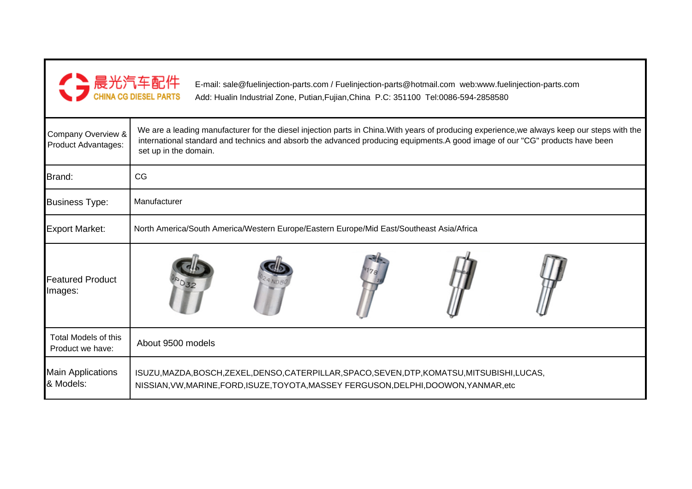

E-mail: sale@fuelinjection-parts.com / Fuelinjection-parts@hotmail.com web:www.fuelinjection-parts.com Add: Hualin Industrial Zone, Putian,Fujian,China P.C: 351100 Tel:0086-594-2858580

| Company Overview &<br>Product Advantages: | We are a leading manufacturer for the diesel injection parts in China. With years of producing experience, we always keep our steps with the<br>international standard and technics and absorb the advanced producing equipments.A good image of our "CG" products have been<br>set up in the domain. |  |  |  |  |  |  |
|-------------------------------------------|-------------------------------------------------------------------------------------------------------------------------------------------------------------------------------------------------------------------------------------------------------------------------------------------------------|--|--|--|--|--|--|
| Brand:                                    | CG                                                                                                                                                                                                                                                                                                    |  |  |  |  |  |  |
| <b>Business Type:</b>                     | Manufacturer                                                                                                                                                                                                                                                                                          |  |  |  |  |  |  |
| <b>Export Market:</b>                     | North America/South America/Western Europe/Eastern Europe/Mid East/Southeast Asia/Africa                                                                                                                                                                                                              |  |  |  |  |  |  |
| <b>Featured Product</b><br>Images:        |                                                                                                                                                                                                                                                                                                       |  |  |  |  |  |  |
| Total Models of this<br>Product we have:  | About 9500 models                                                                                                                                                                                                                                                                                     |  |  |  |  |  |  |
| <b>Main Applications</b><br>& Models:     | ISUZU, MAZDA, BOSCH, ZEXEL, DENSO, CATERPILLAR, SPACO, SEVEN, DTP, KOMATSU, MITSUBISHI, LUCAS,<br>NISSIAN, VW, MARINE, FORD, ISUZE, TOYOTA, MASSEY FERGUSON, DELPHI, DOOWON, YANMAR, etc                                                                                                              |  |  |  |  |  |  |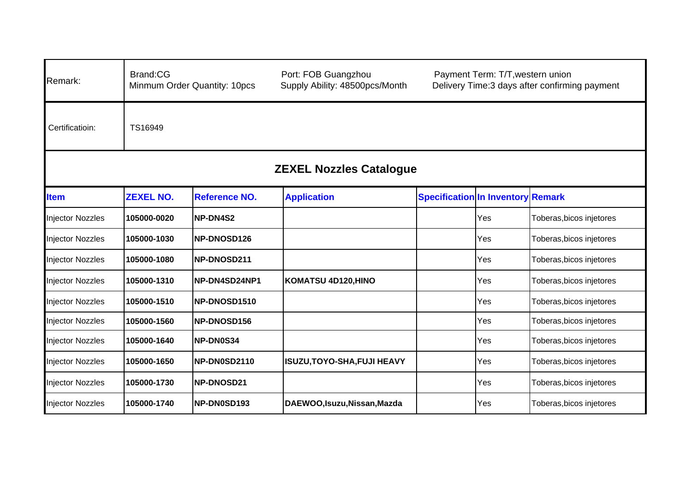| Remark:                        | Brand:CG<br>Port: FOB Guangzhou<br>Payment Term: T/T, western union<br>Supply Ability: 48500pcs/Month<br>Delivery Time:3 days after confirming payment<br>Minmum Order Quantity: 10pcs |                      |                              |                                          |     |                          |  |  |  |
|--------------------------------|----------------------------------------------------------------------------------------------------------------------------------------------------------------------------------------|----------------------|------------------------------|------------------------------------------|-----|--------------------------|--|--|--|
| Certificatioin:                | TS16949                                                                                                                                                                                |                      |                              |                                          |     |                          |  |  |  |
| <b>ZEXEL Nozzles Catalogue</b> |                                                                                                                                                                                        |                      |                              |                                          |     |                          |  |  |  |
| <b>Item</b>                    | <b>ZEXEL NO.</b>                                                                                                                                                                       | <b>Reference NO.</b> | <b>Application</b>           | <b>Specification In Inventory Remark</b> |     |                          |  |  |  |
| <b>Injector Nozzles</b>        | 105000-0020                                                                                                                                                                            | <b>NP-DN4S2</b>      |                              |                                          | Yes | Toberas, bicos injetores |  |  |  |
| <b>Injector Nozzles</b>        | 105000-1030                                                                                                                                                                            | NP-DNOSD126          |                              |                                          | Yes | Toberas, bicos injetores |  |  |  |
| <b>Injector Nozzles</b>        | 105000-1080                                                                                                                                                                            | NP-DNOSD211          |                              |                                          | Yes | Toberas, bicos injetores |  |  |  |
| <b>Injector Nozzles</b>        | 105000-1310                                                                                                                                                                            | NP-DN4SD24NP1        | KOMATSU 4D120, HINO          |                                          | Yes | Toberas, bicos injetores |  |  |  |
| <b>Injector Nozzles</b>        | 105000-1510                                                                                                                                                                            | <b>NP-DNOSD1510</b>  |                              |                                          | Yes | Toberas, bicos injetores |  |  |  |
| <b>Injector Nozzles</b>        | 105000-1560                                                                                                                                                                            | NP-DNOSD156          |                              |                                          | Yes | Toberas, bicos injetores |  |  |  |
| <b>Injector Nozzles</b>        | 105000-1640                                                                                                                                                                            | NP-DN0S34            |                              |                                          | Yes | Toberas, bicos injetores |  |  |  |
| <b>Injector Nozzles</b>        | 105000-1650                                                                                                                                                                            | <b>INP-DN0SD2110</b> | ISUZU, TOYO-SHA, FUJI HEAVY  |                                          | Yes | Toberas, bicos injetores |  |  |  |
| <b>Injector Nozzles</b>        | 105000-1730                                                                                                                                                                            | NP-DNOSD21           |                              |                                          | Yes | Toberas, bicos injetores |  |  |  |
| <b>Injector Nozzles</b>        | 105000-1740                                                                                                                                                                            | NP-DN0SD193          | DAEWOO, Isuzu, Nissan, Mazda |                                          | Yes | Toberas, bicos injetores |  |  |  |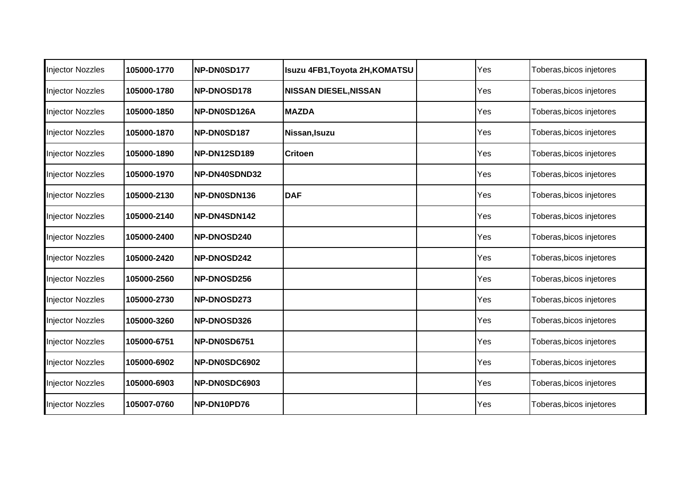| <b>Injector Nozzles</b> | 105000-1770 | <b>NP-DN0SD177</b> | <b>Isuzu 4FB1, Toyota 2H, KOMATSU</b> | Yes | Toberas, bicos injetores |
|-------------------------|-------------|--------------------|---------------------------------------|-----|--------------------------|
| <b>Injector Nozzles</b> | 105000-1780 | NP-DNOSD178        | <b>NISSAN DIESEL, NISSAN</b>          | Yes | Toberas, bicos injetores |
| Injector Nozzles        | 105000-1850 | NP-DN0SD126A       | <b>MAZDA</b>                          | Yes | Toberas, bicos injetores |
| <b>Injector Nozzles</b> | 105000-1870 | NP-DN0SD187        | Nissan, Isuzu                         | Yes | Toberas, bicos injetores |
| <b>Injector Nozzles</b> | 105000-1890 | NP-DN12SD189       | <b>Critoen</b>                        | Yes | Toberas, bicos injetores |
| <b>Injector Nozzles</b> | 105000-1970 | NP-DN40SDND32      |                                       | Yes | Toberas, bicos injetores |
| <b>Injector Nozzles</b> | 105000-2130 | NP-DN0SDN136       | <b>DAF</b>                            | Yes | Toberas, bicos injetores |
| <b>Injector Nozzles</b> | 105000-2140 | NP-DN4SDN142       |                                       | Yes | Toberas, bicos injetores |
| <b>Injector Nozzles</b> | 105000-2400 | NP-DNOSD240        |                                       | Yes | Toberas, bicos injetores |
| <b>Injector Nozzles</b> | 105000-2420 | NP-DNOSD242        |                                       | Yes | Toberas, bicos injetores |
| <b>Injector Nozzles</b> | 105000-2560 | NP-DNOSD256        |                                       | Yes | Toberas, bicos injetores |
| <b>Injector Nozzles</b> | 105000-2730 | NP-DNOSD273        |                                       | Yes | Toberas, bicos injetores |
| <b>Injector Nozzles</b> | 105000-3260 | NP-DNOSD326        |                                       | Yes | Toberas, bicos injetores |
| <b>Injector Nozzles</b> | 105000-6751 | NP-DN0SD6751       |                                       | Yes | Toberas, bicos injetores |
| Injector Nozzles        | 105000-6902 | NP-DN0SDC6902      |                                       | Yes | Toberas, bicos injetores |
| <b>Injector Nozzles</b> | 105000-6903 | NP-DN0SDC6903      |                                       | Yes | Toberas, bicos injetores |
| <b>Injector Nozzles</b> | 105007-0760 | NP-DN10PD76        |                                       | Yes | Toberas, bicos injetores |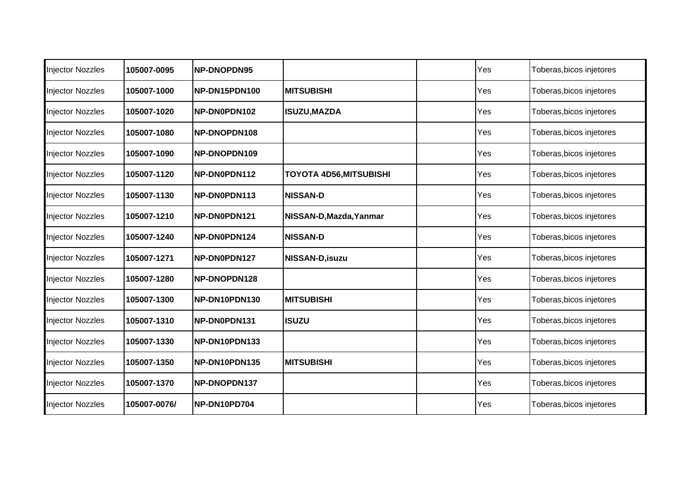| <b>Injector Nozzles</b> | 105007-0095  | <b>NP-DNOPDN95</b>  |                                | Yes | Toberas, bicos injetores |
|-------------------------|--------------|---------------------|--------------------------------|-----|--------------------------|
| <b>Injector Nozzles</b> | 105007-1000  | NP-DN15PDN100       | <b>IMITSUBISHI</b>             | Yes | Toberas, bicos injetores |
| <b>Injector Nozzles</b> | 105007-1020  | NP-DN0PDN102        | <b>ISUZU, MAZDA</b>            | Yes | Toberas, bicos injetores |
| <b>Injector Nozzles</b> | 105007-1080  | <b>NP-DNOPDN108</b> |                                | Yes | Toberas, bicos injetores |
| <b>Injector Nozzles</b> | 105007-1090  | NP-DNOPDN109        |                                | Yes | Toberas, bicos injetores |
| <b>Injector Nozzles</b> | 105007-1120  | NP-DN0PDN112        | <b>TOYOTA 4D56, MITSUBISHI</b> | Yes | Toberas, bicos injetores |
| Injector Nozzles        | 105007-1130  | NP-DN0PDN113        | <b>NISSAN-D</b>                | Yes | Toberas, bicos injetores |
| <b>Injector Nozzles</b> | 105007-1210  | NP-DN0PDN121        | NISSAN-D, Mazda, Yanmar        | Yes | Toberas, bicos injetores |
| <b>Injector Nozzles</b> | 105007-1240  | NP-DN0PDN124        | <b>NISSAN-D</b>                | Yes | Toberas, bicos injetores |
| <b>Injector Nozzles</b> | 105007-1271  | NP-DN0PDN127        | <b>NISSAN-D, isuzu</b>         | Yes | Toberas, bicos injetores |
| Injector Nozzles        | 105007-1280  | NP-DNOPDN128        |                                | Yes | Toberas, bicos injetores |
| <b>Injector Nozzles</b> | 105007-1300  | NP-DN10PDN130       | <b>MITSUBISHI</b>              | Yes | Toberas, bicos injetores |
| <b>Injector Nozzles</b> | 105007-1310  | NP-DN0PDN131        | <b>ISUZU</b>                   | Yes | Toberas, bicos injetores |
| <b>Injector Nozzles</b> | 105007-1330  | NP-DN10PDN133       |                                | Yes | Toberas, bicos injetores |
| <b>Injector Nozzles</b> | 105007-1350  | NP-DN10PDN135       | <b>MITSUBISHI</b>              | Yes | Toberas, bicos injetores |
| Injector Nozzles        | 105007-1370  | NP-DNOPDN137        |                                | Yes | Toberas, bicos injetores |
| <b>Injector Nozzles</b> | 105007-0076/ | NP-DN10PD704        |                                | Yes | Toberas, bicos injetores |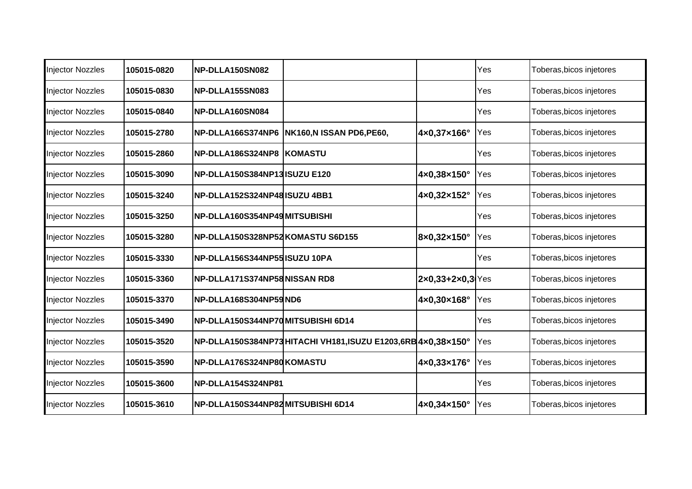| <b>Injector Nozzles</b> | 105015-0820 | NP-DLLA150SN082                    |                                                             |                                    | Yes | Toberas, bicos injetores |
|-------------------------|-------------|------------------------------------|-------------------------------------------------------------|------------------------------------|-----|--------------------------|
| <b>Injector Nozzles</b> | 105015-0830 | NP-DLLA155SN083                    |                                                             |                                    | Yes | Toberas, bicos injetores |
| <b>Injector Nozzles</b> | 105015-0840 | NP-DLLA160SN084                    |                                                             |                                    | Yes | Toberas, bicos injetores |
| <b>Injector Nozzles</b> | 105015-2780 |                                    | NP-DLLA166S374NP6 NK160,N ISSAN PD6,PE60,                   | 4×0,37×166°                        | Yes | Toberas, bicos injetores |
| <b>Injector Nozzles</b> | 105015-2860 | NP-DLLA186S324NP8  KOMASTU         |                                                             |                                    | Yes | Toberas, bicos injetores |
| Injector Nozzles        | 105015-3090 | NP-DLLA150S384NP13 ISUZU E120      |                                                             | 4×0,38×150°                        | Yes | Toberas, bicos injetores |
| Injector Nozzles        | 105015-3240 | NP-DLLA152S324NP48ISUZU 4BB1       |                                                             | 4×0,32×152°                        | Yes | Toberas, bicos injetores |
| <b>Injector Nozzles</b> | 105015-3250 | NP-DLLA160S354NP49 MITSUBISHI      |                                                             |                                    | Yes | Toberas, bicos injetores |
| <b>Injector Nozzles</b> | 105015-3280 | NP-DLLA150S328NP52 KOMASTU S6D155  |                                                             | 8×0,32×150°                        | Yes | Toberas, bicos injetores |
| <b>Injector Nozzles</b> | 105015-3330 | NP-DLLA156S344NP55 ISUZU 10PA      |                                                             |                                    | Yes | Toberas, bicos injetores |
| <b>Injector Nozzles</b> | 105015-3360 | NP-DLLA171S374NP58NISSAN RD8       |                                                             | $2 \times 0,33 + 2 \times 0,3$ Yes |     | Toberas, bicos injetores |
| <b>Injector Nozzles</b> | 105015-3370 | NP-DLLA168S304NP59ND6              |                                                             | 4×0,30×168°                        | Yes | Toberas, bicos injetores |
| <b>Injector Nozzles</b> | 105015-3490 | NP-DLLA150S344NP70MITSUBISHI 6D14  |                                                             |                                    | Yes | Toberas, bicos injetores |
| <b>Injector Nozzles</b> | 105015-3520 |                                    | NP-DLLA150S384NP73HITACHI VH181,ISUZU E1203,6RB 4x0,38x150° |                                    | Yes | Toberas, bicos injetores |
| <b>Injector Nozzles</b> | 105015-3590 | NP-DLLA176S324NP80KOMASTU          |                                                             | 4×0,33×176°                        | Yes | Toberas, bicos injetores |
| Injector Nozzles        | 105015-3600 | NP-DLLA154S324NP81                 |                                                             |                                    | Yes | Toberas, bicos injetores |
| <b>Injector Nozzles</b> | 105015-3610 | INP-DLLA150S344NP82MITSUBISHI 6D14 |                                                             | 4×0,34×150°                        | Yes | Toberas, bicos injetores |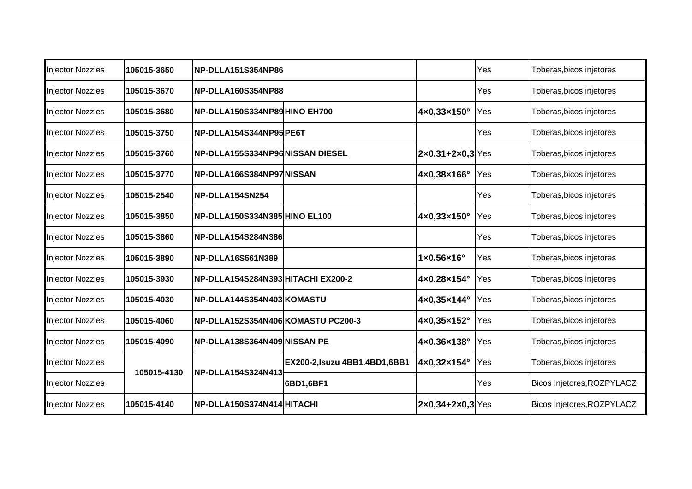| <b>Injector Nozzles</b> | 105015-3650 | <b>NP-DLLA151S354NP86</b>          |                                |                                      | Yes | Toberas, bicos injetores   |
|-------------------------|-------------|------------------------------------|--------------------------------|--------------------------------------|-----|----------------------------|
| <b>Injector Nozzles</b> | 105015-3670 | NP-DLLA160S354NP88                 |                                |                                      | Yes | Toberas, bicos injetores   |
| <b>Injector Nozzles</b> | 105015-3680 | NP-DLLA150S334NP89 HINO EH700      |                                | 4×0,33×150°                          | Yes | Toberas, bicos injetores   |
| <b>Injector Nozzles</b> | 105015-3750 | NP-DLLA154S344NP95 PE6T            |                                |                                      | Yes | Toberas, bicos injetores   |
| Injector Nozzles        | 105015-3760 | INP-DLLA155S334NP96INISSAN DIESEL  |                                | $2 \times 0, 31 + 2 \times 0, 3$ Yes |     | Toberas, bicos injetores   |
| <b>Injector Nozzles</b> | 105015-3770 | INP-DLLA166S384NP97INISSAN         |                                | 4×0,38×166°                          | Yes | Toberas, bicos injetores   |
| <b>Injector Nozzles</b> | 105015-2540 | NP-DLLA154SN254                    |                                |                                      | Yes | Toberas, bicos injetores   |
| <b>Injector Nozzles</b> | 105015-3850 | NP-DLLA150S334N385 HINO EL100      |                                | 4×0,33×150°                          | Yes | Toberas, bicos injetores   |
| <b>Injector Nozzles</b> | 105015-3860 | <b>NP-DLLA154S284N386</b>          |                                |                                      | Yes | Toberas, bicos injetores   |
| <b>Injector Nozzles</b> | 105015-3890 | NP-DLLA16S561N389                  |                                | $1 \times 0.56 \times 16$ °          | Yes | Toberas, bicos injetores   |
| <b>Injector Nozzles</b> | 105015-3930 | NP-DLLA154S284N393 HITACHI EX200-2 |                                | 4×0,28×154°                          | Yes | Toberas, bicos injetores   |
| <b>Injector Nozzles</b> | 105015-4030 | NP-DLLA144S354N403 KOMASTU         |                                | 4×0,35×144°                          | Yes | Toberas, bicos injetores   |
| <b>Injector Nozzles</b> | 105015-4060 | NP-DLLA152S354N406 KOMASTU PC200-3 |                                | 4×0,35×152°                          | Yes | Toberas, bicos injetores   |
| <b>Injector Nozzles</b> | 105015-4090 | INP-DLLA138S364N409INISSAN PE      |                                | 4×0,36×138°                          | Yes | Toberas, bicos injetores   |
| Injector Nozzles        | 105015-4130 | NP-DLLA154S324N413                 | EX200-2, Isuzu 4BB1.4BD1, 6BB1 | 4×0,32×154°                          | Yes | Toberas, bicos injetores   |
| <b>Injector Nozzles</b> |             |                                    | 6BD1,6BF1                      |                                      | Yes | Bicos Injetores, ROZPYLACZ |
| <b>Injector Nozzles</b> | 105015-4140 | <b>INP-DLLA150S374N414 HITACHI</b> |                                | 2x0,34+2x0,3 Yes                     |     | Bicos Injetores, ROZPYLACZ |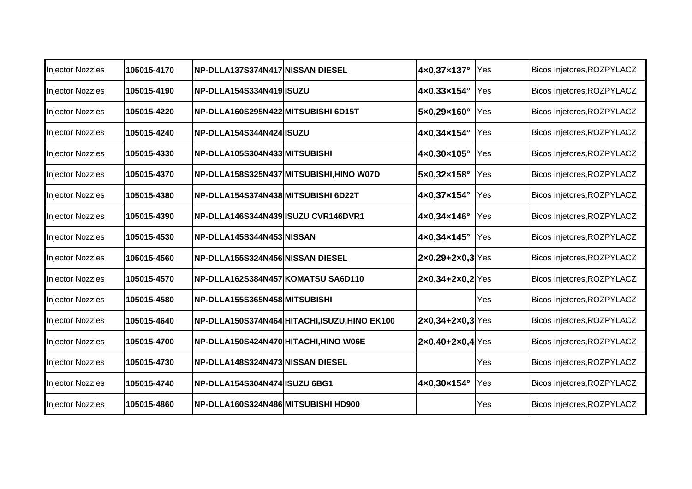| <b>Injector Nozzles</b> | 105015-4170 | NP-DLLA137S374N417 NISSAN DIESEL     |                                             | 4×0,37×137°                            | Yes | Bicos Injetores, ROZPYLACZ |
|-------------------------|-------------|--------------------------------------|---------------------------------------------|----------------------------------------|-----|----------------------------|
| <b>Injector Nozzles</b> | 105015-4190 | INP-DLLA154S334N419IISUZU            |                                             | 4×0,33×154°                            | Yes | Bicos Injetores, ROZPYLACZ |
| <b>Injector Nozzles</b> | 105015-4220 | NP-DLLA160S295N422 MITSUBISHI 6D15T  |                                             | 5×0,29×160°                            | Yes | Bicos Injetores, ROZPYLACZ |
| <b>Injector Nozzles</b> | 105015-4240 | NP-DLLA154S344N424 ISUZU             |                                             | 4×0,34×154°                            | Yes | Bicos Injetores, ROZPYLACZ |
| <b>Injector Nozzles</b> | 105015-4330 | NP-DLLA105S304N433MITSUBISHI         |                                             | 4×0,30×105°                            | Yes | Bicos Injetores, ROZPYLACZ |
| <b>Injector Nozzles</b> | 105015-4370 |                                      | NP-DLLA158S325N437 MITSUBISHI,HINO W07D     | 5×0,32×158°                            | Yes | Bicos Injetores, ROZPYLACZ |
| <b>Injector Nozzles</b> | 105015-4380 | NP-DLLA154S374N438 MITSUBISHI 6D22T  |                                             | 4×0,37×154°                            | Yes | Bicos Injetores, ROZPYLACZ |
| <b>Injector Nozzles</b> | 105015-4390 | NP-DLLA146S344N439 ISUZU CVR146DVR1  |                                             | $4x0,34x146^\circ$                     | Yes | Bicos Injetores, ROZPYLACZ |
| <b>Injector Nozzles</b> | 105015-4530 | NP-DLLA145S344N453 NISSAN            |                                             | 4×0,34×145°                            | Yes | Bicos Injetores, ROZPYLACZ |
| <b>Injector Nozzles</b> | 105015-4560 | NP-DLLA155S324N456 NISSAN DIESEL     |                                             | $2x0,29+2x0,3$ Yes                     |     | Bicos Injetores, ROZPYLACZ |
| <b>Injector Nozzles</b> | 105015-4570 | NP-DLLA162S384N457 KOMATSU SA6D110   |                                             | $2x0,34+2x0,2$ <sup>Yes</sup>          |     | Bicos Injetores, ROZPYLACZ |
| <b>Injector Nozzles</b> | 105015-4580 | NP-DLLA155S365N458MITSUBISHI         |                                             |                                        | Yes | Bicos Injetores, ROZPYLACZ |
| <b>Injector Nozzles</b> | 105015-4640 |                                      | NP-DLLA150S374N464 HITACHI,ISUZU,HINO EK100 | $ 2x0,34+2x0,3 \text{Yes} $            |     | Bicos Injetores, ROZPYLACZ |
| <b>Injector Nozzles</b> | 105015-4700 | NP-DLLA150S424N470 HITACHI,HINO W06E |                                             | $[2 \times 0, 40 + 2 \times 0, 4]$ Yes |     | Bicos Injetores, ROZPYLACZ |
| <b>Injector Nozzles</b> | 105015-4730 | NP-DLLA148S324N473 NISSAN DIESEL     |                                             |                                        | Yes | Bicos Injetores, ROZPYLACZ |
| <b>Injector Nozzles</b> | 105015-4740 | INP-DLLA154S304N474IISUZU 6BG1       |                                             | 4×0,30×154°                            | Yes | Bicos Injetores, ROZPYLACZ |
| <b>Injector Nozzles</b> | 105015-4860 | NP-DLLA160S324N486 MITSUBISHI HD900  |                                             |                                        | Yes | Bicos Injetores, ROZPYLACZ |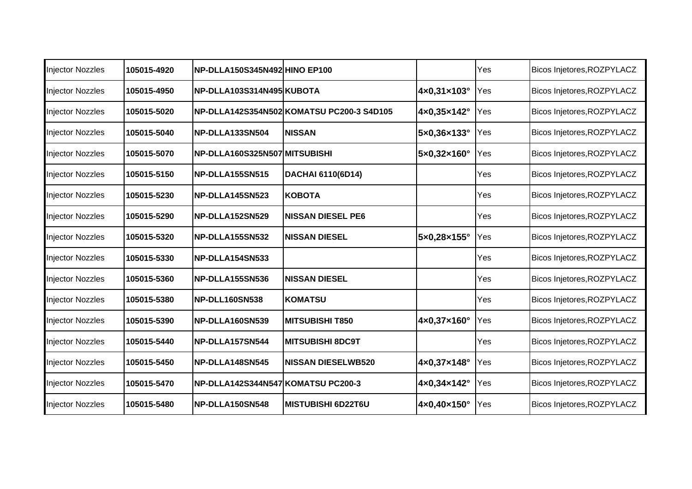| <b>Injector Nozzles</b> | 105015-4920 | NP-DLLA150S345N492 HINO EP100      |                                           |                              | Yes | Bicos Injetores, ROZPYLACZ |
|-------------------------|-------------|------------------------------------|-------------------------------------------|------------------------------|-----|----------------------------|
| <b>Injector Nozzles</b> | 105015-4950 | NP-DLLA103S314N495 KUBOTA          |                                           | 4×0,31×103°                  | Yes | Bicos Injetores, ROZPYLACZ |
| <b>Injector Nozzles</b> | 105015-5020 |                                    | NP-DLLA142S354N502 KOMATSU PC200-3 S4D105 | 4×0,35×142°                  | Yes | Bicos Injetores, ROZPYLACZ |
| <b>Injector Nozzles</b> | 105015-5040 | NP-DLLA133SN504                    | <b>NISSAN</b>                             | $5\times0,36\times133^\circ$ | Yes | Bicos Injetores, ROZPYLACZ |
| <b>Injector Nozzles</b> | 105015-5070 | NP-DLLA160S325N507 MITSUBISHI      |                                           | 5×0,32×160°                  | Yes | Bicos Injetores, ROZPYLACZ |
| <b>Injector Nozzles</b> | 105015-5150 | <b>INP-DLLA155SN515</b>            | <b>DACHAI 6110(6D14)</b>                  |                              | Yes | Bicos Injetores, ROZPYLACZ |
| <b>Injector Nozzles</b> | 105015-5230 | NP-DLLA145SN523                    | <b>KOBOTA</b>                             |                              | Yes | Bicos Injetores, ROZPYLACZ |
| <b>Injector Nozzles</b> | 105015-5290 | NP-DLLA152SN529                    | <b>NISSAN DIESEL PE6</b>                  |                              | Yes | Bicos Injetores, ROZPYLACZ |
| <b>Injector Nozzles</b> | 105015-5320 | NP-DLLA155SN532                    | <b>NISSAN DIESEL</b>                      | 5×0,28×155°                  | Yes | Bicos Injetores, ROZPYLACZ |
| <b>Injector Nozzles</b> | 105015-5330 | NP-DLLA154SN533                    |                                           |                              | Yes | Bicos Injetores, ROZPYLACZ |
| Injector Nozzles        | 105015-5360 | <b>INP-DLLA155SN536</b>            | <b>NISSAN DIESEL</b>                      |                              | Yes | Bicos Injetores, ROZPYLACZ |
| <b>Injector Nozzles</b> | 105015-5380 | <b>NP-DLL160SN538</b>              | KOMATSU                                   |                              | Yes | Bicos Injetores, ROZPYLACZ |
| <b>Injector Nozzles</b> | 105015-5390 | NP-DLLA160SN539                    | <b>MITSUBISHI T850</b>                    | 4×0,37×160°                  | Yes | Bicos Injetores, ROZPYLACZ |
| <b>Injector Nozzles</b> | 105015-5440 | NP-DLLA157SN544                    | <b>MITSUBISHI 8DC9T</b>                   |                              | Yes | Bicos Injetores, ROZPYLACZ |
| <b>Injector Nozzles</b> | 105015-5450 | NP-DLLA148SN545                    | <b>NISSAN DIESELWB520</b>                 | 4×0,37×148°                  | Yes | Bicos Injetores, ROZPYLACZ |
| <b>Injector Nozzles</b> | 105015-5470 | NP-DLLA142S344N547 KOMATSU PC200-3 |                                           | 4×0,34×142°                  | Yes | Bicos Injetores, ROZPYLACZ |
| <b>Injector Nozzles</b> | 105015-5480 | NP-DLLA150SN548                    | <b>MISTUBISHI 6D22T6U</b>                 | 4×0,40×150°                  | Yes | Bicos Injetores, ROZPYLACZ |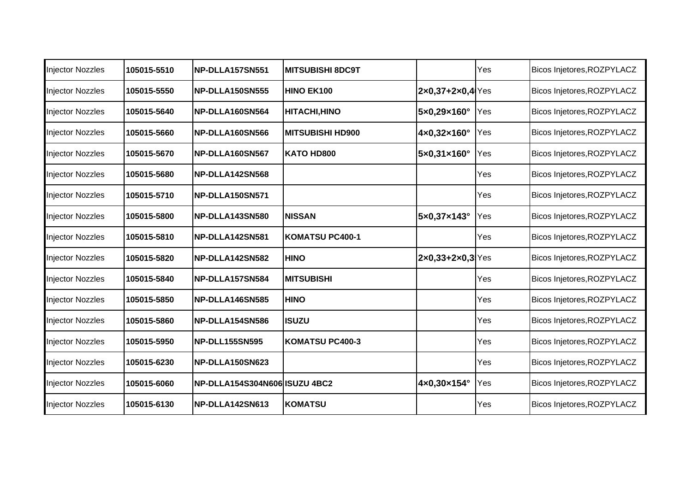| <b>Injector Nozzles</b> | 105015-5510 | NP-DLLA157SN551               | <b>MITSUBISHI 8DC9T</b> |                                    | Yes | Bicos Injetores, ROZPYLACZ |
|-------------------------|-------------|-------------------------------|-------------------------|------------------------------------|-----|----------------------------|
| <b>Injector Nozzles</b> | 105015-5550 | NP-DLLA150SN555               | <b>HINO EK100</b>       | $2x0,37+2x0,4$ Yes                 |     | Bicos Injetores, ROZPYLACZ |
| <b>Injector Nozzles</b> | 105015-5640 | NP-DLLA160SN564               | <b>HITACHI, HINO</b>    | 5×0,29×160°                        | Yes | Bicos Injetores, ROZPYLACZ |
| <b>Injector Nozzles</b> | 105015-5660 | NP-DLLA160SN566               | <b>MITSUBISHI HD900</b> | 4×0,32×160°                        | Yes | Bicos Injetores, ROZPYLACZ |
| <b>Injector Nozzles</b> | 105015-5670 | NP-DLLA160SN567               | <b>KATO HD800</b>       | 5×0,31×160°                        | Yes | Bicos Injetores, ROZPYLACZ |
| <b>Injector Nozzles</b> | 105015-5680 | NP-DLLA142SN568               |                         |                                    | Yes | Bicos Injetores, ROZPYLACZ |
| <b>Injector Nozzles</b> | 105015-5710 | NP-DLLA150SN571               |                         |                                    | Yes | Bicos Injetores, ROZPYLACZ |
| <b>Injector Nozzles</b> | 105015-5800 | NP-DLLA143SN580               | <b>NISSAN</b>           | 5×0,37×143°                        | Yes | Bicos Injetores, ROZPYLACZ |
| <b>Injector Nozzles</b> | 105015-5810 | NP-DLLA142SN581               | KOMATSU PC400-1         |                                    | Yes | Bicos Injetores, ROZPYLACZ |
| <b>Injector Nozzles</b> | 105015-5820 | NP-DLLA142SN582               | <b>HINO</b>             | $2 \times 0,33 + 2 \times 0,3$ Yes |     | Bicos Injetores, ROZPYLACZ |
| <b>Injector Nozzles</b> | 105015-5840 | NP-DLLA157SN584               | <b>IMITSUBISHI</b>      |                                    | Yes | Bicos Injetores, ROZPYLACZ |
| Injector Nozzles        | 105015-5850 | NP-DLLA146SN585               | <b>HINO</b>             |                                    | Yes | Bicos Injetores, ROZPYLACZ |
| <b>Injector Nozzles</b> | 105015-5860 | NP-DLLA154SN586               | lisuzu                  |                                    | Yes | Bicos Injetores, ROZPYLACZ |
| <b>Injector Nozzles</b> | 105015-5950 | NP-DLL155SN595                | KOMATSU PC400-3         |                                    | Yes | Bicos Injetores, ROZPYLACZ |
| <b>Injector Nozzles</b> | 105015-6230 | NP-DLLA150SN623               |                         |                                    | Yes | Bicos Injetores, ROZPYLACZ |
| Injector Nozzles        | 105015-6060 | NP-DLLA154S304N606 ISUZU 4BC2 |                         | 4×0,30×154°                        | Yes | Bicos Injetores, ROZPYLACZ |
| <b>Injector Nozzles</b> | 105015-6130 | NP-DLLA142SN613               | <b>KOMATSU</b>          |                                    | Yes | Bicos Injetores, ROZPYLACZ |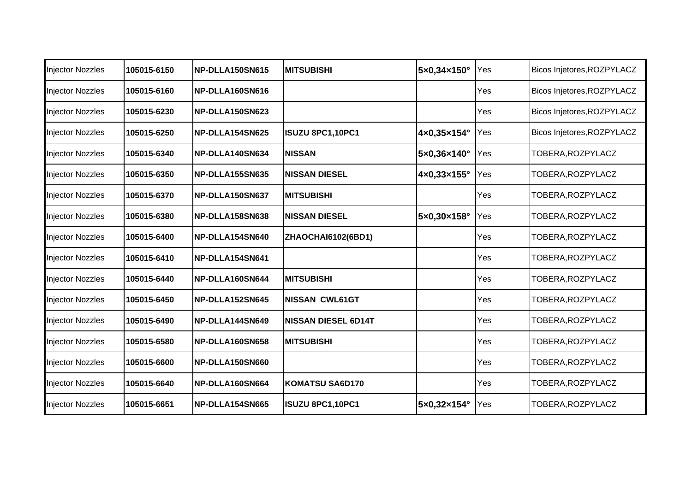| <b>Injector Nozzles</b> | 105015-6150 | NP-DLLA150SN615 | IMITSUBISHI                | 5×0,34×150° | Yes | Bicos Injetores, ROZPYLACZ |
|-------------------------|-------------|-----------------|----------------------------|-------------|-----|----------------------------|
| <b>Injector Nozzles</b> | 105015-6160 | NP-DLLA160SN616 |                            |             | Yes | Bicos Injetores, ROZPYLACZ |
| <b>Injector Nozzles</b> | 105015-6230 | NP-DLLA150SN623 |                            |             | Yes | Bicos Injetores, ROZPYLACZ |
| <b>Injector Nozzles</b> | 105015-6250 | NP-DLLA154SN625 | ISUZU 8PC1,10PC1           | 4×0,35×154° | Yes | Bicos Injetores, ROZPYLACZ |
| <b>Injector Nozzles</b> | 105015-6340 | NP-DLLA140SN634 | <b>NISSAN</b>              | 5×0,36×140° | Yes | TOBERA, ROZPYLACZ          |
| <b>Injector Nozzles</b> | 105015-6350 | NP-DLLA155SN635 | <b>NISSAN DIESEL</b>       | 4×0,33×155° | Yes | TOBERA, ROZPYLACZ          |
| <b>Injector Nozzles</b> | 105015-6370 | NP-DLLA150SN637 | <b>MITSUBISHI</b>          |             | Yes | TOBERA, ROZPYLACZ          |
| <b>Injector Nozzles</b> | 105015-6380 | NP-DLLA158SN638 | <b>NISSAN DIESEL</b>       | 5×0,30×158° | Yes | TOBERA, ROZPYLACZ          |
| <b>Injector Nozzles</b> | 105015-6400 | NP-DLLA154SN640 | <b>ZHAOCHAI6102(6BD1)</b>  |             | Yes | TOBERA, ROZPYLACZ          |
| <b>Injector Nozzles</b> | 105015-6410 | NP-DLLA154SN641 |                            |             | Yes | TOBERA, ROZPYLACZ          |
| <b>Injector Nozzles</b> | 105015-6440 | NP-DLLA160SN644 | IMITSUBISHI                |             | Yes | TOBERA, ROZPYLACZ          |
| <b>Injector Nozzles</b> | 105015-6450 | NP-DLLA152SN645 | <b>NISSAN CWL61GT</b>      |             | Yes | TOBERA, ROZPYLACZ          |
| <b>Injector Nozzles</b> | 105015-6490 | NP-DLLA144SN649 | <b>NISSAN DIESEL 6D14T</b> |             | Yes | TOBERA, ROZPYLACZ          |
| <b>Injector Nozzles</b> | 105015-6580 | NP-DLLA160SN658 | <b>MITSUBISHI</b>          |             | Yes | TOBERA, ROZPYLACZ          |
| <b>Injector Nozzles</b> | 105015-6600 | NP-DLLA150SN660 |                            |             | Yes | TOBERA, ROZPYLACZ          |
| <b>Injector Nozzles</b> | 105015-6640 | NP-DLLA160SN664 | KOMATSU SA6D170            |             | Yes | TOBERA, ROZPYLACZ          |
| <b>Injector Nozzles</b> | 105015-6651 | NP-DLLA154SN665 | ISUZU 8PC1,10PC1           | 5×0,32×154° | Yes | TOBERA, ROZPYLACZ          |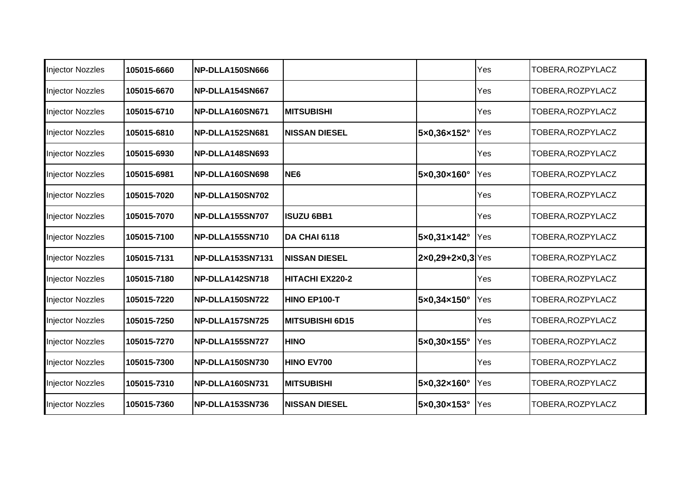| <b>Injector Nozzles</b> | 105015-6660 | NP-DLLA150SN666  |                        |                                    | Yes | TOBERA, ROZPYLACZ |
|-------------------------|-------------|------------------|------------------------|------------------------------------|-----|-------------------|
| <b>Injector Nozzles</b> | 105015-6670 | NP-DLLA154SN667  |                        |                                    | Yes | TOBERA, ROZPYLACZ |
| <b>Injector Nozzles</b> | 105015-6710 | NP-DLLA160SN671  | <b>MITSUBISHI</b>      |                                    | Yes | TOBERA, ROZPYLACZ |
| <b>Injector Nozzles</b> | 105015-6810 | NP-DLLA152SN681  | <b>NISSAN DIESEL</b>   | 5×0,36×152°                        | Yes | TOBERA, ROZPYLACZ |
| <b>Injector Nozzles</b> | 105015-6930 | NP-DLLA148SN693  |                        |                                    | Yes | TOBERA, ROZPYLACZ |
| <b>Injector Nozzles</b> | 105015-6981 | NP-DLLA160SN698  | NE <sub>6</sub>        | 5×0,30×160°                        | Yes | TOBERA, ROZPYLACZ |
| <b>Injector Nozzles</b> | 105015-7020 | NP-DLLA150SN702  |                        |                                    | Yes | TOBERA, ROZPYLACZ |
| <b>Injector Nozzles</b> | 105015-7070 | NP-DLLA155SN707  | <b>ISUZU 6BB1</b>      |                                    | Yes | TOBERA, ROZPYLACZ |
| <b>Injector Nozzles</b> | 105015-7100 | NP-DLLA155SN710  | DA CHAI 6118           | 5×0,31×142°                        | Yes | TOBERA, ROZPYLACZ |
| <b>Injector Nozzles</b> | 105015-7131 | NP-DLLA153SN7131 | <b>NISSAN DIESEL</b>   | $2 \times 0,29 + 2 \times 0,3$ Yes |     | TOBERA, ROZPYLACZ |
| <b>Injector Nozzles</b> | 105015-7180 | NP-DLLA142SN718  | HITACHI EX220-2        |                                    | Yes | TOBERA, ROZPYLACZ |
| <b>Injector Nozzles</b> | 105015-7220 | NP-DLLA150SN722  | HINO EP100-T           | 5×0,34×150°                        | Yes | TOBERA, ROZPYLACZ |
| <b>Injector Nozzles</b> | 105015-7250 | NP-DLLA157SN725  | <b>MITSUBISHI 6D15</b> |                                    | Yes | TOBERA, ROZPYLACZ |
| <b>Injector Nozzles</b> | 105015-7270 | NP-DLLA155SN727  | <b>HINO</b>            | 5×0,30×155°                        | Yes | TOBERA, ROZPYLACZ |
| <b>Injector Nozzles</b> | 105015-7300 | NP-DLLA150SN730  | <b>HINO EV700</b>      |                                    | Yes | TOBERA, ROZPYLACZ |
| <b>Injector Nozzles</b> | 105015-7310 | NP-DLLA160SN731  | <b>MITSUBISHI</b>      | 5×0,32×160°                        | Yes | TOBERA, ROZPYLACZ |
| <b>Injector Nozzles</b> | 105015-7360 | NP-DLLA153SN736  | <b>NISSAN DIESEL</b>   | 5×0,30×153°                        | Yes | TOBERA, ROZPYLACZ |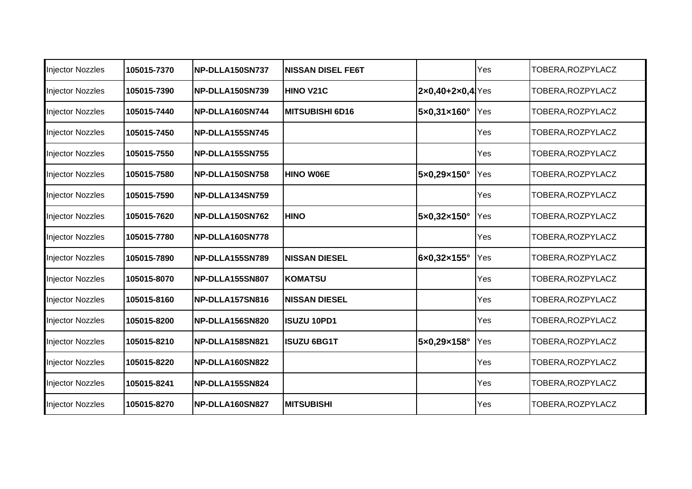| <b>Injector Nozzles</b> | 105015-7370 | NP-DLLA150SN737 | <b>INISSAN DISEL FE6T</b> |                    | Yes | TOBERA, ROZPYLACZ |
|-------------------------|-------------|-----------------|---------------------------|--------------------|-----|-------------------|
| <b>Injector Nozzles</b> | 105015-7390 | NP-DLLA150SN739 | <b>HINO V21C</b>          | $2x0,40+2x0,4$ Yes |     | TOBERA, ROZPYLACZ |
| Injector Nozzles        | 105015-7440 | NP-DLLA160SN744 | <b>MITSUBISHI 6D16</b>    | 5×0,31×160°        | Yes | TOBERA, ROZPYLACZ |
| <b>Injector Nozzles</b> | 105015-7450 | NP-DLLA155SN745 |                           |                    | Yes | TOBERA, ROZPYLACZ |
| <b>Injector Nozzles</b> | 105015-7550 | NP-DLLA155SN755 |                           |                    | Yes | TOBERA, ROZPYLACZ |
| <b>Injector Nozzles</b> | 105015-7580 | NP-DLLA150SN758 | <b>HINO W06E</b>          | 5×0,29×150°        | Yes | TOBERA, ROZPYLACZ |
| <b>Injector Nozzles</b> | 105015-7590 | NP-DLLA134SN759 |                           |                    | Yes | TOBERA, ROZPYLACZ |
| <b>Injector Nozzles</b> | 105015-7620 | NP-DLLA150SN762 | <b>HINO</b>               | 5×0,32×150°        | Yes | TOBERA, ROZPYLACZ |
| <b>Injector Nozzles</b> | 105015-7780 | NP-DLLA160SN778 |                           |                    | Yes | TOBERA, ROZPYLACZ |
| <b>Injector Nozzles</b> | 105015-7890 | NP-DLLA155SN789 | <b>NISSAN DIESEL</b>      | 6×0,32×155°        | Yes | TOBERA, ROZPYLACZ |
| <b>Injector Nozzles</b> | 105015-8070 | NP-DLLA155SN807 | <b>KOMATSU</b>            |                    | Yes | TOBERA, ROZPYLACZ |
| <b>Injector Nozzles</b> | 105015-8160 | NP-DLLA157SN816 | <b>NISSAN DIESEL</b>      |                    | Yes | TOBERA, ROZPYLACZ |
| Injector Nozzles        | 105015-8200 | NP-DLLA156SN820 | <b>ISUZU 10PD1</b>        |                    | Yes | TOBERA, ROZPYLACZ |
| <b>Injector Nozzles</b> | 105015-8210 | NP-DLLA158SN821 | <b>ISUZU 6BG1T</b>        | 5×0,29×158°        | Yes | TOBERA, ROZPYLACZ |
| <b>Injector Nozzles</b> | 105015-8220 | NP-DLLA160SN822 |                           |                    | Yes | TOBERA, ROZPYLACZ |
| <b>Injector Nozzles</b> | 105015-8241 | NP-DLLA155SN824 |                           |                    | Yes | TOBERA, ROZPYLACZ |
| <b>Injector Nozzles</b> | 105015-8270 | NP-DLLA160SN827 | <b>MITSUBISHI</b>         |                    | Yes | TOBERA, ROZPYLACZ |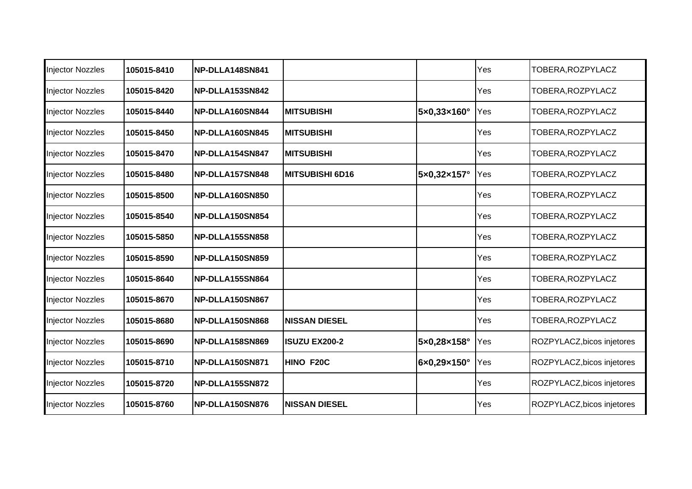| <b>Injector Nozzles</b> | 105015-8410 | NP-DLLA148SN841 |                        |                                  | Yes | TOBERA, ROZPYLACZ          |
|-------------------------|-------------|-----------------|------------------------|----------------------------------|-----|----------------------------|
| <b>Injector Nozzles</b> | 105015-8420 | NP-DLLA153SN842 |                        |                                  | Yes | TOBERA, ROZPYLACZ          |
| <b>Injector Nozzles</b> | 105015-8440 | NP-DLLA160SN844 | <b>MITSUBISHI</b>      | $5 \times 0,33 \times 160^\circ$ | Yes | TOBERA, ROZPYLACZ          |
| <b>Injector Nozzles</b> | 105015-8450 | NP-DLLA160SN845 | <b>MITSUBISHI</b>      |                                  | Yes | TOBERA, ROZPYLACZ          |
| <b>Injector Nozzles</b> | 105015-8470 | NP-DLLA154SN847 | <b>MITSUBISHI</b>      |                                  | Yes | TOBERA, ROZPYLACZ          |
| <b>Injector Nozzles</b> | 105015-8480 | NP-DLLA157SN848 | <b>MITSUBISHI 6D16</b> | 5×0,32×157°                      | Yes | TOBERA, ROZPYLACZ          |
| <b>Injector Nozzles</b> | 105015-8500 | NP-DLLA160SN850 |                        |                                  | Yes | TOBERA, ROZPYLACZ          |
| <b>Injector Nozzles</b> | 105015-8540 | NP-DLLA150SN854 |                        |                                  | Yes | TOBERA, ROZPYLACZ          |
| <b>Injector Nozzles</b> | 105015-5850 | NP-DLLA155SN858 |                        |                                  | Yes | TOBERA, ROZPYLACZ          |
| <b>Injector Nozzles</b> | 105015-8590 | NP-DLLA150SN859 |                        |                                  | Yes | TOBERA, ROZPYLACZ          |
| <b>Injector Nozzles</b> | 105015-8640 | NP-DLLA155SN864 |                        |                                  | Yes | TOBERA, ROZPYLACZ          |
| <b>Injector Nozzles</b> | 105015-8670 | NP-DLLA150SN867 |                        |                                  | Yes | TOBERA, ROZPYLACZ          |
| <b>Injector Nozzles</b> | 105015-8680 | NP-DLLA150SN868 | <b>NISSAN DIESEL</b>   |                                  | Yes | TOBERA, ROZPYLACZ          |
| <b>Injector Nozzles</b> | 105015-8690 | NP-DLLA158SN869 | <b>ISUZU EX200-2</b>   | 5×0,28×158°                      | Yes | ROZPYLACZ, bicos injetores |
| <b>Injector Nozzles</b> | 105015-8710 | NP-DLLA150SN871 | HINO F20C              | 6×0,29×150°                      | Yes | ROZPYLACZ, bicos injetores |
| Injector Nozzles        | 105015-8720 | NP-DLLA155SN872 |                        |                                  | Yes | ROZPYLACZ, bicos injetores |
| <b>Injector Nozzles</b> | 105015-8760 | NP-DLLA150SN876 | <b>NISSAN DIESEL</b>   |                                  | Yes | ROZPYLACZ, bicos injetores |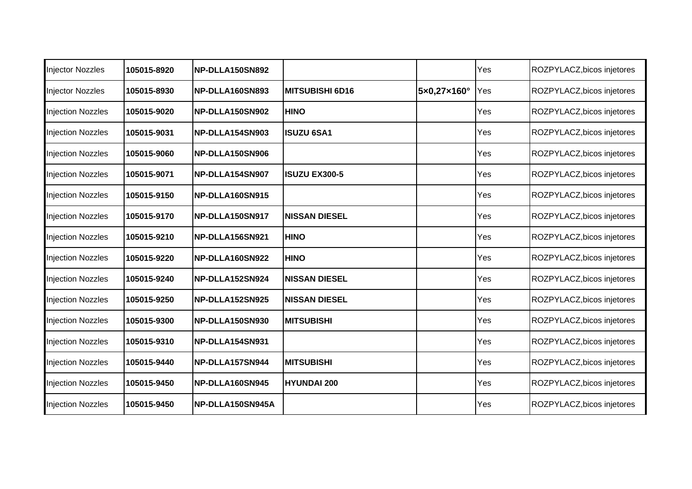| <b>Injector Nozzles</b>  | 105015-8920 | NP-DLLA150SN892  |                       |             | Yes | ROZPYLACZ, bicos injetores |
|--------------------------|-------------|------------------|-----------------------|-------------|-----|----------------------------|
| <b>Injector Nozzles</b>  | 105015-8930 | NP-DLLA160SN893  | IMITSUBISHI 6D16      | 5×0,27×160° | Yes | ROZPYLACZ, bicos injetores |
| <b>Injection Nozzles</b> | 105015-9020 | NP-DLLA150SN902  | <b>HINO</b>           |             | Yes | ROZPYLACZ, bicos injetores |
| <b>Injection Nozzles</b> | 105015-9031 | NP-DLLA154SN903  | <b>ISUZU 6SA1</b>     |             | Yes | ROZPYLACZ, bicos injetores |
| <b>Injection Nozzles</b> | 105015-9060 | NP-DLLA150SN906  |                       |             | Yes | ROZPYLACZ, bicos injetores |
| <b>Injection Nozzles</b> | 105015-9071 | NP-DLLA154SN907  | <b>ISUZU EX300-5</b>  |             | Yes | ROZPYLACZ, bicos injetores |
| <b>Injection Nozzles</b> | 105015-9150 | NP-DLLA160SN915  |                       |             | Yes | ROZPYLACZ, bicos injetores |
| <b>Injection Nozzles</b> | 105015-9170 | NP-DLLA150SN917  | <b>NISSAN DIESEL</b>  |             | Yes | ROZPYLACZ, bicos injetores |
| <b>Injection Nozzles</b> | 105015-9210 | NP-DLLA156SN921  | <b>HINO</b>           |             | Yes | ROZPYLACZ, bicos injetores |
| <b>Injection Nozzles</b> | 105015-9220 | NP-DLLA160SN922  | <b>HINO</b>           |             | Yes | ROZPYLACZ, bicos injetores |
| <b>Injection Nozzles</b> | 105015-9240 | NP-DLLA152SN924  | <b>NISSAN DIESEL</b>  |             | Yes | ROZPYLACZ, bicos injetores |
| <b>Injection Nozzles</b> | 105015-9250 | NP-DLLA152SN925  | <b>INISSAN DIESEL</b> |             | Yes | ROZPYLACZ, bicos injetores |
| <b>Injection Nozzles</b> | 105015-9300 | NP-DLLA150SN930  | <b>MITSUBISHI</b>     |             | Yes | ROZPYLACZ, bicos injetores |
| <b>Injection Nozzles</b> | 105015-9310 | NP-DLLA154SN931  |                       |             | Yes | ROZPYLACZ, bicos injetores |
| <b>Injection Nozzles</b> | 105015-9440 | NP-DLLA157SN944  | <b>IMITSUBISHI</b>    |             | Yes | ROZPYLACZ, bicos injetores |
| <b>Injection Nozzles</b> | 105015-9450 | NP-DLLA160SN945  | <b>HYUNDAI 200</b>    |             | Yes | ROZPYLACZ, bicos injetores |
| <b>Injection Nozzles</b> | 105015-9450 | NP-DLLA150SN945A |                       |             | Yes | ROZPYLACZ, bicos injetores |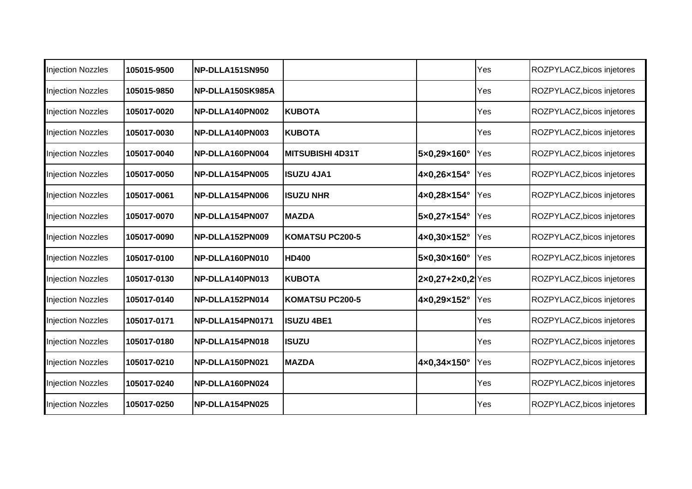| <b>Injection Nozzles</b> | 105015-9500 | NP-DLLA151SN950  |                         |                                    | Yes | ROZPYLACZ, bicos injetores |
|--------------------------|-------------|------------------|-------------------------|------------------------------------|-----|----------------------------|
| <b>Injection Nozzles</b> | 105015-9850 | NP-DLLA150SK985A |                         |                                    | Yes | ROZPYLACZ, bicos injetores |
| <b>Injection Nozzles</b> | 105017-0020 | NP-DLLA140PN002  | <b>KUBOTA</b>           |                                    | Yes | ROZPYLACZ, bicos injetores |
| <b>Injection Nozzles</b> | 105017-0030 | NP-DLLA140PN003  | <b>KUBOTA</b>           |                                    | Yes | ROZPYLACZ, bicos injetores |
| <b>Injection Nozzles</b> | 105017-0040 | NP-DLLA160PN004  | <b>MITSUBISHI 4D31T</b> | 5×0,29×160°                        | Yes | ROZPYLACZ, bicos injetores |
| <b>Injection Nozzles</b> | 105017-0050 | NP-DLLA154PN005  | <b>ISUZU 4JA1</b>       | 4×0,26×154°                        | Yes | ROZPYLACZ, bicos injetores |
| <b>Injection Nozzles</b> | 105017-0061 | NP-DLLA154PN006  | <b>ISUZU NHR</b>        | 4×0,28×154°                        | Yes | ROZPYLACZ, bicos injetores |
| <b>Injection Nozzles</b> | 105017-0070 | NP-DLLA154PN007  | <b>MAZDA</b>            | 5×0,27×154°                        | Yes | ROZPYLACZ, bicos injetores |
| <b>Injection Nozzles</b> | 105017-0090 | NP-DLLA152PN009  | KOMATSU PC200-5         | 4×0,30×152°                        | Yes | ROZPYLACZ, bicos injetores |
| <b>Injection Nozzles</b> | 105017-0100 | NP-DLLA160PN010  | <b>HD400</b>            | 5×0,30×160°                        | Yes | ROZPYLACZ, bicos injetores |
| <b>Injection Nozzles</b> | 105017-0130 | NP-DLLA140PN013  | <b>KUBOTA</b>           | $2 \times 0,27 + 2 \times 0,2$ Yes |     | ROZPYLACZ, bicos injetores |
| <b>Injection Nozzles</b> | 105017-0140 | NP-DLLA152PN014  | <b>KOMATSU PC200-5</b>  | 4×0,29×152°                        | Yes | ROZPYLACZ, bicos injetores |
| <b>Injection Nozzles</b> | 105017-0171 | NP-DLLA154PN0171 | <b>ISUZU 4BE1</b>       |                                    | Yes | ROZPYLACZ, bicos injetores |
| <b>Injection Nozzles</b> | 105017-0180 | NP-DLLA154PN018  | <b>ISUZU</b>            |                                    | Yes | ROZPYLACZ, bicos injetores |
| <b>Injection Nozzles</b> | 105017-0210 | NP-DLLA150PN021  | <b>MAZDA</b>            | 4×0,34×150°                        | Yes | ROZPYLACZ, bicos injetores |
| Injection Nozzles        | 105017-0240 | NP-DLLA160PN024  |                         |                                    | Yes | ROZPYLACZ, bicos injetores |
| <b>Injection Nozzles</b> | 105017-0250 | NP-DLLA154PN025  |                         |                                    | Yes | ROZPYLACZ, bicos injetores |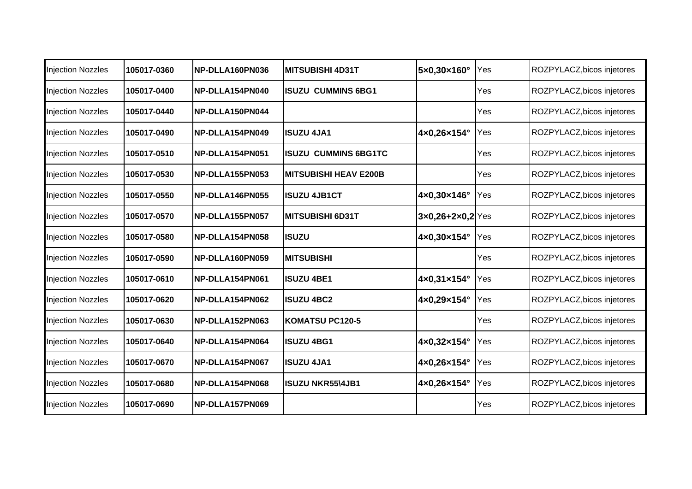| <b>Injection Nozzles</b> | 105017-0360 | NP-DLLA160PN036 | <b>MITSUBISHI 4D31T</b>      | 5×0,30×160°        | Yes | ROZPYLACZ, bicos injetores |
|--------------------------|-------------|-----------------|------------------------------|--------------------|-----|----------------------------|
| <b>Injection Nozzles</b> | 105017-0400 | NP-DLLA154PN040 | <b>ISUZU CUMMINS 6BG1</b>    |                    | Yes | ROZPYLACZ, bicos injetores |
| <b>Injection Nozzles</b> | 105017-0440 | NP-DLLA150PN044 |                              |                    | Yes | ROZPYLACZ, bicos injetores |
| <b>Injection Nozzles</b> | 105017-0490 | NP-DLLA154PN049 | <b>ISUZU 4JA1</b>            | 4×0,26×154°        | Yes | ROZPYLACZ, bicos injetores |
| <b>Injection Nozzles</b> | 105017-0510 | NP-DLLA154PN051 | <b>ISUZU CUMMINS 6BG1TC</b>  |                    | Yes | ROZPYLACZ, bicos injetores |
| <b>Injection Nozzles</b> | 105017-0530 | NP-DLLA155PN053 | <b>MITSUBISHI HEAV E200B</b> |                    | Yes | ROZPYLACZ, bicos injetores |
| <b>Injection Nozzles</b> | 105017-0550 | NP-DLLA146PN055 | <b>ISUZU 4JB1CT</b>          | 4×0,30×146°        | Yes | ROZPYLACZ, bicos injetores |
| <b>Injection Nozzles</b> | 105017-0570 | NP-DLLA155PN057 | <b>MITSUBISHI 6D31T</b>      | $3x0,26+2x0,2$ Yes |     | ROZPYLACZ, bicos injetores |
| Injection Nozzles        | 105017-0580 | NP-DLLA154PN058 | <b>ISUZU</b>                 | 4×0,30×154°        | Yes | ROZPYLACZ, bicos injetores |
| <b>Injection Nozzles</b> | 105017-0590 | NP-DLLA160PN059 | <b>MITSUBISHI</b>            |                    | Yes | ROZPYLACZ, bicos injetores |
| <b>Injection Nozzles</b> | 105017-0610 | NP-DLLA154PN061 | <b>ISUZU 4BE1</b>            | 4×0,31×154°        | Yes | ROZPYLACZ, bicos injetores |
| <b>Injection Nozzles</b> | 105017-0620 | NP-DLLA154PN062 | <b>ISUZU 4BC2</b>            | 4×0,29×154°        | Yes | ROZPYLACZ, bicos injetores |
| <b>Injection Nozzles</b> | 105017-0630 | NP-DLLA152PN063 | <b>KOMATSU PC120-5</b>       |                    | Yes | ROZPYLACZ, bicos injetores |
| <b>Injection Nozzles</b> | 105017-0640 | NP-DLLA154PN064 | <b>IISUZU 4BG1</b>           | 4×0,32×154°        | Yes | ROZPYLACZ, bicos injetores |
| <b>Injection Nozzles</b> | 105017-0670 | NP-DLLA154PN067 | <b>ISUZU 4JA1</b>            | 4×0,26×154°        | Yes | ROZPYLACZ, bicos injetores |
| <b>Injection Nozzles</b> | 105017-0680 | NP-DLLA154PN068 | <b>ISUZU NKR55\4JB1</b>      | 4×0,26×154°        | Yes | ROZPYLACZ, bicos injetores |
| <b>Injection Nozzles</b> | 105017-0690 | NP-DLLA157PN069 |                              |                    | Yes | ROZPYLACZ, bicos injetores |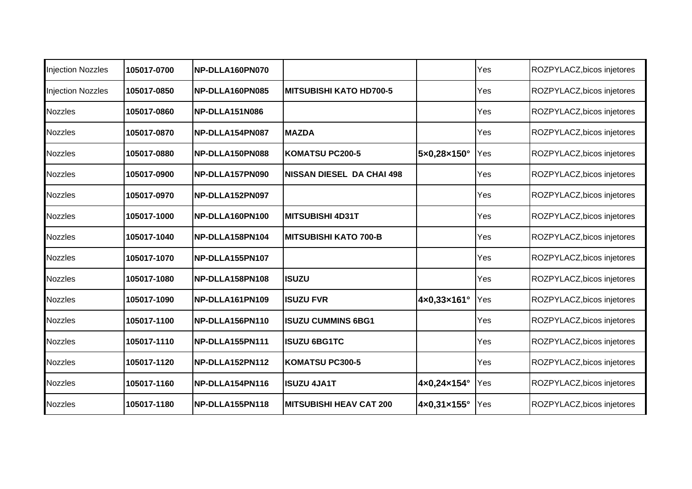| <b>Injection Nozzles</b> | 105017-0700 | NP-DLLA160PN070 |                                  |             | Yes | ROZPYLACZ, bicos injetores |
|--------------------------|-------------|-----------------|----------------------------------|-------------|-----|----------------------------|
| <b>Injection Nozzles</b> | 105017-0850 | NP-DLLA160PN085 | <b>MITSUBISHI KATO HD700-5</b>   |             | Yes | ROZPYLACZ, bicos injetores |
| <b>Nozzles</b>           | 105017-0860 | NP-DLLA151N086  |                                  |             | Yes | ROZPYLACZ, bicos injetores |
| <b>Nozzles</b>           | 105017-0870 | NP-DLLA154PN087 | <b>MAZDA</b>                     |             | Yes | ROZPYLACZ, bicos injetores |
| <b>Nozzles</b>           | 105017-0880 | NP-DLLA150PN088 | <b>KOMATSU PC200-5</b>           | 5×0,28×150° | Yes | ROZPYLACZ, bicos injetores |
| <b>Nozzles</b>           | 105017-0900 | NP-DLLA157PN090 | <b>NISSAN DIESEL DA CHAI 498</b> |             | Yes | ROZPYLACZ, bicos injetores |
| <b>Nozzles</b>           | 105017-0970 | NP-DLLA152PN097 |                                  |             | Yes | ROZPYLACZ, bicos injetores |
| Nozzles                  | 105017-1000 | NP-DLLA160PN100 | <b>MITSUBISHI 4D31T</b>          |             | Yes | ROZPYLACZ, bicos injetores |
| <b>Nozzles</b>           | 105017-1040 | NP-DLLA158PN104 | <b>MITSUBISHI KATO 700-B</b>     |             | Yes | ROZPYLACZ, bicos injetores |
| <b>Nozzles</b>           | 105017-1070 | NP-DLLA155PN107 |                                  |             | Yes | ROZPYLACZ, bicos injetores |
| <b>Nozzles</b>           | 105017-1080 | NP-DLLA158PN108 | <b>ISUZU</b>                     |             | Yes | ROZPYLACZ, bicos injetores |
| <b>Nozzles</b>           | 105017-1090 | NP-DLLA161PN109 | <b>IISUZU FVR</b>                | 4×0,33×161° | Yes | ROZPYLACZ, bicos injetores |
| <b>Nozzles</b>           | 105017-1100 | NP-DLLA156PN110 | <b>ISUZU CUMMINS 6BG1</b>        |             | Yes | ROZPYLACZ, bicos injetores |
| <b>Nozzles</b>           | 105017-1110 | NP-DLLA155PN111 | <b>ISUZU 6BG1TC</b>              |             | Yes | ROZPYLACZ, bicos injetores |
| <b>Nozzles</b>           | 105017-1120 | NP-DLLA152PN112 | <b>KOMATSU PC300-5</b>           |             | Yes | ROZPYLACZ, bicos injetores |
| <b>Nozzles</b>           | 105017-1160 | NP-DLLA154PN116 | <b>ISUZU 4JA1T</b>               | 4×0,24×154° | Yes | ROZPYLACZ, bicos injetores |
| <b>Nozzles</b>           | 105017-1180 | NP-DLLA155PN118 | <b>MITSUBISHI HEAV CAT 200</b>   | 4×0,31×155° | Yes | ROZPYLACZ, bicos injetores |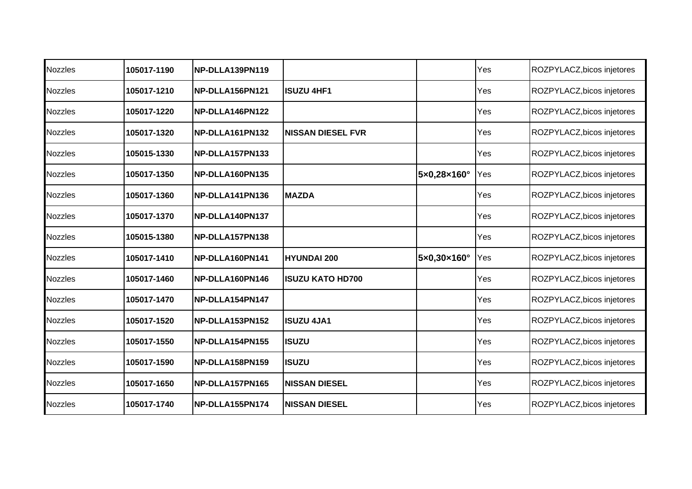| <b>Nozzles</b> | 105017-1190 | NP-DLLA139PN119 |                           |             | Yes | ROZPYLACZ, bicos injetores |
|----------------|-------------|-----------------|---------------------------|-------------|-----|----------------------------|
| <b>Nozzles</b> | 105017-1210 | NP-DLLA156PN121 | <b>ISUZU 4HF1</b>         |             | Yes | ROZPYLACZ, bicos injetores |
| <b>Nozzles</b> | 105017-1220 | NP-DLLA146PN122 |                           |             | Yes | ROZPYLACZ, bicos injetores |
| <b>Nozzles</b> | 105017-1320 | NP-DLLA161PN132 | <b>INISSAN DIESEL FVR</b> |             | Yes | ROZPYLACZ, bicos injetores |
| <b>Nozzles</b> | 105015-1330 | NP-DLLA157PN133 |                           |             | Yes | ROZPYLACZ, bicos injetores |
| <b>Nozzles</b> | 105017-1350 | NP-DLLA160PN135 |                           | 5×0,28×160° | Yes | ROZPYLACZ, bicos injetores |
| <b>Nozzles</b> | 105017-1360 | NP-DLLA141PN136 | <b>MAZDA</b>              |             | Yes | ROZPYLACZ, bicos injetores |
| <b>Nozzles</b> | 105017-1370 | NP-DLLA140PN137 |                           |             | Yes | ROZPYLACZ, bicos injetores |
| <b>Nozzles</b> | 105015-1380 | NP-DLLA157PN138 |                           |             | Yes | ROZPYLACZ, bicos injetores |
| <b>Nozzles</b> | 105017-1410 | NP-DLLA160PN141 | <b>HYUNDAI 200</b>        | 5×0,30×160° | Yes | ROZPYLACZ, bicos injetores |
| <b>Nozzles</b> | 105017-1460 | NP-DLLA160PN146 | <b>IISUZU KATO HD700</b>  |             | Yes | ROZPYLACZ, bicos injetores |
| <b>Nozzles</b> | 105017-1470 | NP-DLLA154PN147 |                           |             | Yes | ROZPYLACZ, bicos injetores |
| <b>Nozzles</b> | 105017-1520 | NP-DLLA153PN152 | <b>ISUZU 4JA1</b>         |             | Yes | ROZPYLACZ, bicos injetores |
| <b>Nozzles</b> | 105017-1550 | NP-DLLA154PN155 | <b>ISUZU</b>              |             | Yes | ROZPYLACZ, bicos injetores |
| <b>Nozzles</b> | 105017-1590 | NP-DLLA158PN159 | <b>ISUZU</b>              |             | Yes | ROZPYLACZ, bicos injetores |
| <b>Nozzles</b> | 105017-1650 | NP-DLLA157PN165 | <b>NISSAN DIESEL</b>      |             | Yes | ROZPYLACZ, bicos injetores |
| <b>Nozzles</b> | 105017-1740 | NP-DLLA155PN174 | <b>NISSAN DIESEL</b>      |             | Yes | ROZPYLACZ, bicos injetores |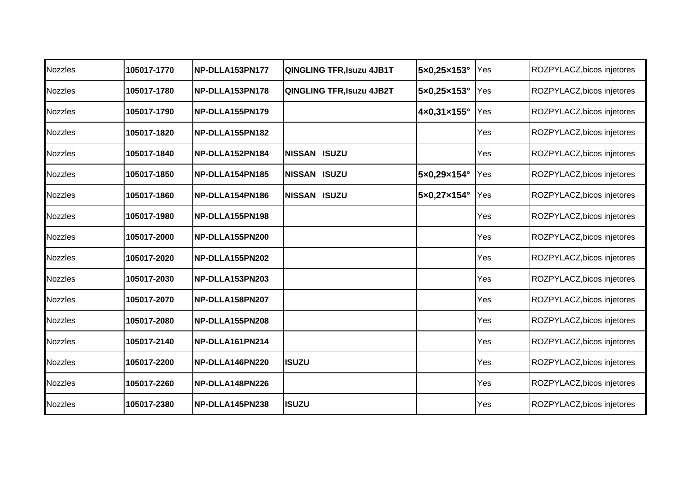| <b>Nozzles</b> | 105017-1770 | NP-DLLA153PN177 | <b>QINGLING TFR, Isuzu 4JB1T</b> | 5×0,25×153° | Yes | ROZPYLACZ, bicos injetores |
|----------------|-------------|-----------------|----------------------------------|-------------|-----|----------------------------|
| <b>Nozzles</b> | 105017-1780 | NP-DLLA153PN178 | <b>QINGLING TFR, Isuzu 4JB2T</b> | 5×0,25×153° | Yes | ROZPYLACZ, bicos injetores |
| Nozzles        | 105017-1790 | NP-DLLA155PN179 |                                  | 4×0,31×155° | Yes | ROZPYLACZ, bicos injetores |
| <b>Nozzles</b> | 105017-1820 | NP-DLLA155PN182 |                                  |             | Yes | ROZPYLACZ, bicos injetores |
| <b>Nozzles</b> | 105017-1840 | NP-DLLA152PN184 | <b>NISSAN ISUZU</b>              |             | Yes | ROZPYLACZ, bicos injetores |
| <b>Nozzles</b> | 105017-1850 | NP-DLLA154PN185 | <b>NISSAN ISUZU</b>              | 5×0,29×154° | Yes | ROZPYLACZ, bicos injetores |
| <b>Nozzles</b> | 105017-1860 | NP-DLLA154PN186 | <b>NISSAN ISUZU</b>              | 5×0,27×154° | Yes | ROZPYLACZ, bicos injetores |
| Nozzles        | 105017-1980 | NP-DLLA155PN198 |                                  |             | Yes | ROZPYLACZ, bicos injetores |
| <b>Nozzles</b> | 105017-2000 | NP-DLLA155PN200 |                                  |             | Yes | ROZPYLACZ, bicos injetores |
| <b>Nozzles</b> | 105017-2020 | NP-DLLA155PN202 |                                  |             | Yes | ROZPYLACZ, bicos injetores |
| <b>Nozzles</b> | 105017-2030 | NP-DLLA153PN203 |                                  |             | Yes | ROZPYLACZ, bicos injetores |
| <b>Nozzles</b> | 105017-2070 | NP-DLLA158PN207 |                                  |             | Yes | ROZPYLACZ, bicos injetores |
| <b>Nozzles</b> | 105017-2080 | NP-DLLA155PN208 |                                  |             | Yes | ROZPYLACZ, bicos injetores |
| <b>Nozzles</b> | 105017-2140 | NP-DLLA161PN214 |                                  |             | Yes | ROZPYLACZ, bicos injetores |
| <b>Nozzles</b> | 105017-2200 | NP-DLLA146PN220 | <b>ISUZU</b>                     |             | Yes | ROZPYLACZ, bicos injetores |
| <b>Nozzles</b> | 105017-2260 | NP-DLLA148PN226 |                                  |             | Yes | ROZPYLACZ, bicos injetores |
| <b>Nozzles</b> | 105017-2380 | NP-DLLA145PN238 | <b>ISUZU</b>                     |             | Yes | ROZPYLACZ, bicos injetores |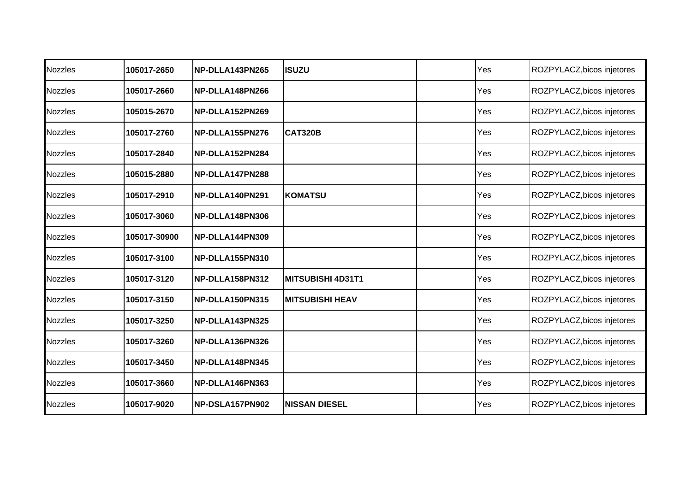| <b>Nozzles</b> | 105017-2650  | NP-DLLA143PN265 | <b>ISUZU</b>             | Yes | ROZPYLACZ, bicos injetores |
|----------------|--------------|-----------------|--------------------------|-----|----------------------------|
| <b>Nozzles</b> | 105017-2660  | NP-DLLA148PN266 |                          | Yes | ROZPYLACZ, bicos injetores |
| <b>Nozzles</b> | 105015-2670  | NP-DLLA152PN269 |                          | Yes | ROZPYLACZ, bicos injetores |
| <b>Nozzles</b> | 105017-2760  | NP-DLLA155PN276 | <b>CAT320B</b>           | Yes | ROZPYLACZ, bicos injetores |
| <b>Nozzles</b> | 105017-2840  | NP-DLLA152PN284 |                          | Yes | ROZPYLACZ, bicos injetores |
| <b>Nozzles</b> | 105015-2880  | NP-DLLA147PN288 |                          | Yes | ROZPYLACZ, bicos injetores |
| <b>Nozzles</b> | 105017-2910  | NP-DLLA140PN291 | <b>IKOMATSU</b>          | Yes | ROZPYLACZ, bicos injetores |
| <b>Nozzles</b> | 105017-3060  | NP-DLLA148PN306 |                          | Yes | ROZPYLACZ, bicos injetores |
| <b>Nozzles</b> | 105017-30900 | NP-DLLA144PN309 |                          | Yes | ROZPYLACZ, bicos injetores |
| <b>Nozzles</b> | 105017-3100  | NP-DLLA155PN310 |                          | Yes | ROZPYLACZ, bicos injetores |
| <b>Nozzles</b> | 105017-3120  | NP-DLLA158PN312 | <b>MITSUBISHI 4D31T1</b> | Yes | ROZPYLACZ, bicos injetores |
| <b>Nozzles</b> | 105017-3150  | NP-DLLA150PN315 | <b>MITSUBISHI HEAV</b>   | Yes | ROZPYLACZ, bicos injetores |
| <b>Nozzles</b> | 105017-3250  | NP-DLLA143PN325 |                          | Yes | ROZPYLACZ, bicos injetores |
| <b>Nozzles</b> | 105017-3260  | NP-DLLA136PN326 |                          | Yes | ROZPYLACZ, bicos injetores |
| Nozzles        | 105017-3450  | NP-DLLA148PN345 |                          | Yes | ROZPYLACZ, bicos injetores |
| <b>Nozzles</b> | 105017-3660  | NP-DLLA146PN363 |                          | Yes | ROZPYLACZ, bicos injetores |
| <b>Nozzles</b> | 105017-9020  | NP-DSLA157PN902 | <b>NISSAN DIESEL</b>     | Yes | ROZPYLACZ, bicos injetores |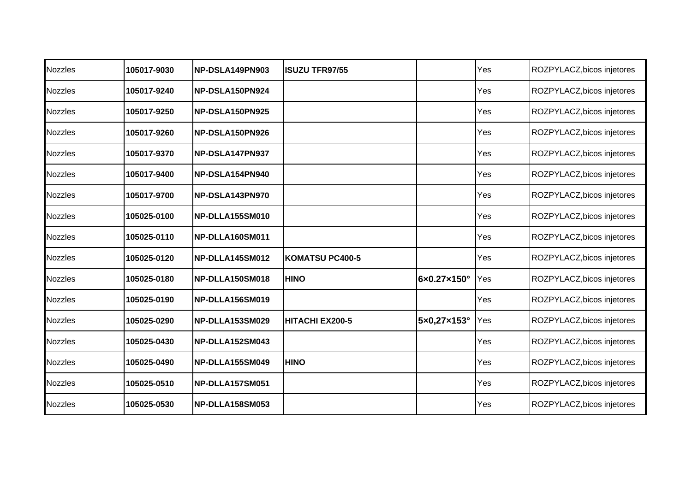| Nozzles        | 105017-9030 | NP-DSLA149PN903 | <b>ISUZU TFR97/55</b>  |             | Yes | ROZPYLACZ, bicos injetores |
|----------------|-------------|-----------------|------------------------|-------------|-----|----------------------------|
| <b>Nozzles</b> | 105017-9240 | NP-DSLA150PN924 |                        |             | Yes | ROZPYLACZ, bicos injetores |
| Nozzles        | 105017-9250 | NP-DSLA150PN925 |                        |             | Yes | ROZPYLACZ, bicos injetores |
| <b>Nozzles</b> | 105017-9260 | NP-DSLA150PN926 |                        |             | Yes | ROZPYLACZ, bicos injetores |
| <b>Nozzles</b> | 105017-9370 | NP-DSLA147PN937 |                        |             | Yes | ROZPYLACZ, bicos injetores |
| <b>Nozzles</b> | 105017-9400 | NP-DSLA154PN940 |                        |             | Yes | ROZPYLACZ, bicos injetores |
| <b>Nozzles</b> | 105017-9700 | NP-DSLA143PN970 |                        |             | Yes | ROZPYLACZ, bicos injetores |
| <b>Nozzles</b> | 105025-0100 | NP-DLLA155SM010 |                        |             | Yes | ROZPYLACZ, bicos injetores |
| <b>Nozzles</b> | 105025-0110 | NP-DLLA160SM011 |                        |             | Yes | ROZPYLACZ, bicos injetores |
| <b>Nozzles</b> | 105025-0120 | NP-DLLA145SM012 | <b>KOMATSU PC400-5</b> |             | Yes | ROZPYLACZ, bicos injetores |
| <b>Nozzles</b> | 105025-0180 | NP-DLLA150SM018 | <b>HINO</b>            | 6×0.27×150° | Yes | ROZPYLACZ, bicos injetores |
| <b>Nozzles</b> | 105025-0190 | NP-DLLA156SM019 |                        |             | Yes | ROZPYLACZ, bicos injetores |
| <b>Nozzles</b> | 105025-0290 | NP-DLLA153SM029 | HITACHI EX200-5        | 5×0,27×153° | Yes | ROZPYLACZ, bicos injetores |
| <b>Nozzles</b> | 105025-0430 | NP-DLLA152SM043 |                        |             | Yes | ROZPYLACZ, bicos injetores |
| <b>Nozzles</b> | 105025-0490 | NP-DLLA155SM049 | <b>HINO</b>            |             | Yes | ROZPYLACZ, bicos injetores |
| <b>Nozzles</b> | 105025-0510 | NP-DLLA157SM051 |                        |             | Yes | ROZPYLACZ, bicos injetores |
| <b>Nozzles</b> | 105025-0530 | NP-DLLA158SM053 |                        |             | Yes | ROZPYLACZ, bicos injetores |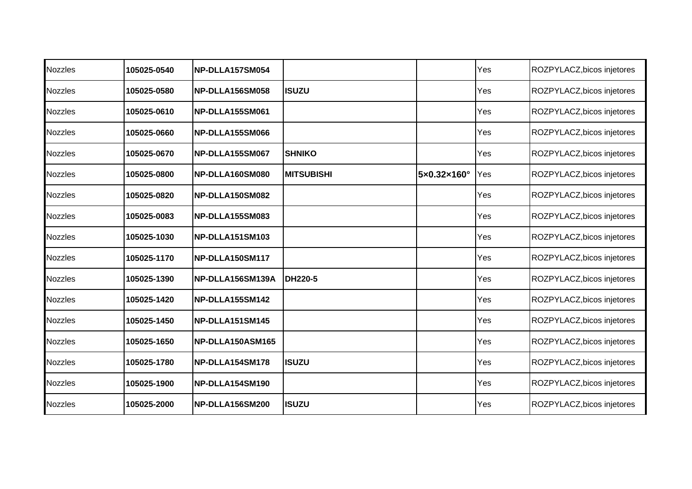| <b>Nozzles</b> | 105025-0540 | NP-DLLA157SM054        |                   |             | Yes | ROZPYLACZ, bicos injetores |
|----------------|-------------|------------------------|-------------------|-------------|-----|----------------------------|
| <b>Nozzles</b> | 105025-0580 | NP-DLLA156SM058        | <b>ISUZU</b>      |             | Yes | ROZPYLACZ, bicos injetores |
| <b>Nozzles</b> | 105025-0610 | NP-DLLA155SM061        |                   |             | Yes | ROZPYLACZ, bicos injetores |
| <b>Nozzles</b> | 105025-0660 | NP-DLLA155SM066        |                   |             | Yes | ROZPYLACZ, bicos injetores |
| <b>Nozzles</b> | 105025-0670 | NP-DLLA155SM067        | <b>SHNIKO</b>     |             | Yes | ROZPYLACZ, bicos injetores |
| <b>Nozzles</b> | 105025-0800 | NP-DLLA160SM080        | <b>MITSUBISHI</b> | 5×0.32×160° | Yes | ROZPYLACZ, bicos injetores |
| <b>Nozzles</b> | 105025-0820 | NP-DLLA150SM082        |                   |             | Yes | ROZPYLACZ, bicos injetores |
| <b>Nozzles</b> | 105025-0083 | NP-DLLA155SM083        |                   |             | Yes | ROZPYLACZ, bicos injetores |
| <b>Nozzles</b> | 105025-1030 | <b>NP-DLLA151SM103</b> |                   |             | Yes | ROZPYLACZ, bicos injetores |
| <b>Nozzles</b> | 105025-1170 | NP-DLLA150SM117        |                   |             | Yes | ROZPYLACZ, bicos injetores |
| <b>Nozzles</b> | 105025-1390 | NP-DLLA156SM139A       | <b>DH220-5</b>    |             | Yes | ROZPYLACZ, bicos injetores |
| <b>Nozzles</b> | 105025-1420 | NP-DLLA155SM142        |                   |             | Yes | ROZPYLACZ, bicos injetores |
| <b>Nozzles</b> | 105025-1450 | NP-DLLA151SM145        |                   |             | Yes | ROZPYLACZ, bicos injetores |
| <b>Nozzles</b> | 105025-1650 | NP-DLLA150ASM165       |                   |             | Yes | ROZPYLACZ, bicos injetores |
| Nozzles        | 105025-1780 | NP-DLLA154SM178        | <b>ISUZU</b>      |             | Yes | ROZPYLACZ, bicos injetores |
| <b>Nozzles</b> | 105025-1900 | NP-DLLA154SM190        |                   |             | Yes | ROZPYLACZ, bicos injetores |
| <b>Nozzles</b> | 105025-2000 | NP-DLLA156SM200        | <b>ISUZU</b>      |             | Yes | ROZPYLACZ, bicos injetores |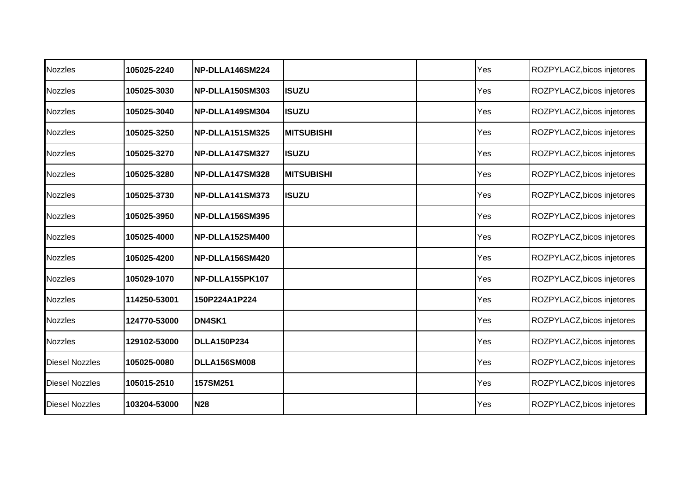| <b>Nozzles</b>        | 105025-2240  | NP-DLLA146SM224        |                   | Yes | ROZPYLACZ, bicos injetores |
|-----------------------|--------------|------------------------|-------------------|-----|----------------------------|
| <b>Nozzles</b>        | 105025-3030  | <b>NP-DLLA150SM303</b> | <b>ISUZU</b>      | Yes | ROZPYLACZ, bicos injetores |
| <b>Nozzles</b>        | 105025-3040  | NP-DLLA149SM304        | <b>ISUZU</b>      | Yes | ROZPYLACZ, bicos injetores |
| Nozzles               | 105025-3250  | <b>NP-DLLA151SM325</b> | <b>MITSUBISHI</b> | Yes | ROZPYLACZ, bicos injetores |
| <b>Nozzles</b>        | 105025-3270  | NP-DLLA147SM327        | <b>ISUZU</b>      | Yes | ROZPYLACZ, bicos injetores |
| <b>Nozzles</b>        | 105025-3280  | NP-DLLA147SM328        | <b>MITSUBISHI</b> | Yes | ROZPYLACZ, bicos injetores |
| <b>Nozzles</b>        | 105025-3730  | NP-DLLA141SM373        | <b>ISUZU</b>      | Yes | ROZPYLACZ, bicos injetores |
| <b>Nozzles</b>        | 105025-3950  | NP-DLLA156SM395        |                   | Yes | ROZPYLACZ, bicos injetores |
| <b>Nozzles</b>        | 105025-4000  | NP-DLLA152SM400        |                   | Yes | ROZPYLACZ, bicos injetores |
| <b>Nozzles</b>        | 105025-4200  | NP-DLLA156SM420        |                   | Yes | ROZPYLACZ, bicos injetores |
| <b>Nozzles</b>        | 105029-1070  | NP-DLLA155PK107        |                   | Yes | ROZPYLACZ, bicos injetores |
| <b>Nozzles</b>        | 114250-53001 | 150P224A1P224          |                   | Yes | ROZPYLACZ, bicos injetores |
| <b>Nozzles</b>        | 124770-53000 | DN4SK1                 |                   | Yes | ROZPYLACZ, bicos injetores |
| <b>Nozzles</b>        | 129102-53000 | <b>DLLA150P234</b>     |                   | Yes | ROZPYLACZ, bicos injetores |
| <b>Diesel Nozzles</b> | 105025-0080  | <b>DLLA156SM008</b>    |                   | Yes | ROZPYLACZ, bicos injetores |
| <b>Diesel Nozzles</b> | 105015-2510  | 157SM251               |                   | Yes | ROZPYLACZ, bicos injetores |
| <b>Diesel Nozzles</b> | 103204-53000 | <b>N28</b>             |                   | Yes | ROZPYLACZ, bicos injetores |